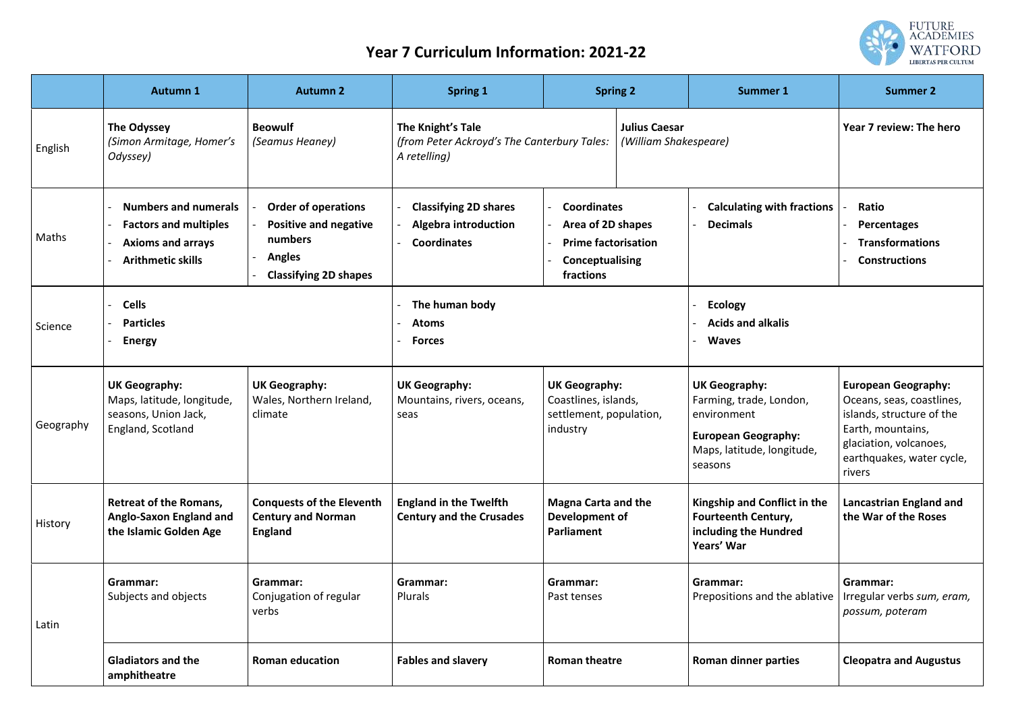## **Year 7 Curriculum Information: 2021-22**

|           | <b>Autumn 1</b>                                                                                                     | <b>Autumn 2</b>                                                                                                        | <b>Spring 1</b>                                                                                                                   | <b>Spring 2</b>                                                                                       | <b>Summer 1</b>                                                                                                                       | <b>Summer 2</b>                                                                                                                                                            |
|-----------|---------------------------------------------------------------------------------------------------------------------|------------------------------------------------------------------------------------------------------------------------|-----------------------------------------------------------------------------------------------------------------------------------|-------------------------------------------------------------------------------------------------------|---------------------------------------------------------------------------------------------------------------------------------------|----------------------------------------------------------------------------------------------------------------------------------------------------------------------------|
| English   | The Odyssey<br>(Simon Armitage, Homer's<br>Odyssey)                                                                 | <b>Beowulf</b><br>(Seamus Heaney)                                                                                      | The Knight's Tale<br><b>Julius Caesar</b><br>(from Peter Ackroyd's The Canterbury Tales:<br>(William Shakespeare)<br>A retelling) |                                                                                                       |                                                                                                                                       | Year 7 review: The hero                                                                                                                                                    |
| Maths     | <b>Numbers and numerals</b><br><b>Factors and multiples</b><br><b>Axioms and arrays</b><br><b>Arithmetic skills</b> | <b>Order of operations</b><br><b>Positive and negative</b><br>numbers<br><b>Angles</b><br><b>Classifying 2D shapes</b> | <b>Classifying 2D shares</b><br><b>Algebra introduction</b><br><b>Coordinates</b>                                                 | <b>Coordinates</b><br>Area of 2D shapes<br><b>Prime factorisation</b><br>Conceptualising<br>fractions | <b>Calculating with fractions</b><br><b>Decimals</b>                                                                                  | Ratio<br>Percentages<br><b>Transformations</b><br><b>Constructions</b>                                                                                                     |
| Science   | <b>Cells</b><br><b>Particles</b><br><b>Energy</b>                                                                   |                                                                                                                        | The human body<br><b>Atoms</b><br><b>Forces</b>                                                                                   |                                                                                                       | <b>Ecology</b><br><b>Acids and alkalis</b><br><b>Waves</b>                                                                            |                                                                                                                                                                            |
| Geography | <b>UK Geography:</b><br>Maps, latitude, longitude,<br>seasons, Union Jack,<br>England, Scotland                     | <b>UK Geography:</b><br>Wales, Northern Ireland,<br>climate                                                            | <b>UK Geography:</b><br>Mountains, rivers, oceans,<br>seas                                                                        | <b>UK Geography:</b><br>Coastlines, islands,<br>settlement, population,<br>industry                   | <b>UK Geography:</b><br>Farming, trade, London,<br>environment<br><b>European Geography:</b><br>Maps, latitude, longitude,<br>seasons | <b>European Geography:</b><br>Oceans, seas, coastlines,<br>islands, structure of the<br>Earth, mountains,<br>glaciation, volcanoes,<br>earthquakes, water cycle,<br>rivers |
| History   | <b>Retreat of the Romans,</b><br><b>Anglo-Saxon England and</b><br>the Islamic Golden Age                           | <b>Conquests of the Eleventh</b><br><b>Century and Norman</b><br><b>England</b>                                        | <b>England in the Twelfth</b><br><b>Century and the Crusades</b>                                                                  | <b>Magna Carta and the</b><br>Development of<br>Parliament                                            | Kingship and Conflict in the<br><b>Fourteenth Century,</b><br>including the Hundred<br>Years' War                                     | <b>Lancastrian England and</b><br>the War of the Roses                                                                                                                     |
| Latin     | Grammar:<br>Subjects and objects                                                                                    | Grammar:<br>Conjugation of regular<br>verbs                                                                            | Grammar:<br>Plurals                                                                                                               | Grammar:<br>Past tenses                                                                               | <b>Grammar:</b><br>Prepositions and the ablative                                                                                      | Grammar:<br>Irregular verbs sum, eram,<br>possum, poteram                                                                                                                  |
|           | <b>Gladiators and the</b><br>amphitheatre                                                                           | <b>Roman education</b>                                                                                                 | <b>Fables and slavery</b>                                                                                                         | <b>Roman theatre</b>                                                                                  | <b>Roman dinner parties</b>                                                                                                           | <b>Cleopatra and Augustus</b>                                                                                                                                              |

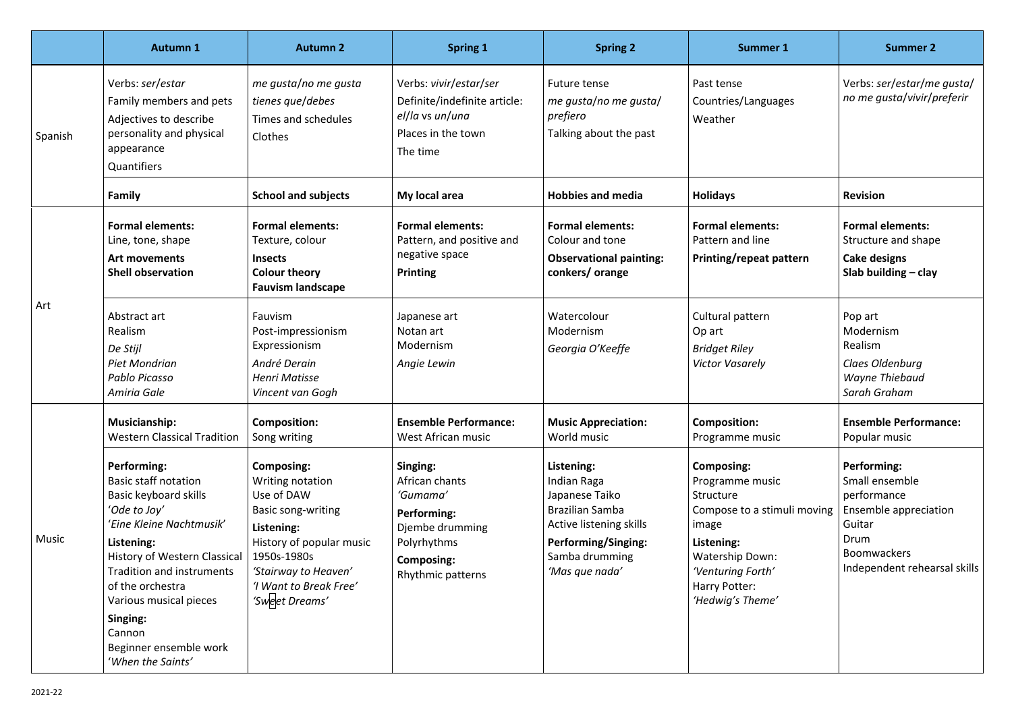|              | <b>Autumn 1</b>                                                                                                                                                                                                                                                                                                      | <b>Autumn 2</b>                                                                                                                                                                                 | <b>Spring 1</b>                                                                                                                          | <b>Spring 2</b>                                                                                                                                                    | <b>Summer 1</b>                                                                                                                                                                      | <b>Summer 2</b>                                                                                                                                      |
|--------------|----------------------------------------------------------------------------------------------------------------------------------------------------------------------------------------------------------------------------------------------------------------------------------------------------------------------|-------------------------------------------------------------------------------------------------------------------------------------------------------------------------------------------------|------------------------------------------------------------------------------------------------------------------------------------------|--------------------------------------------------------------------------------------------------------------------------------------------------------------------|--------------------------------------------------------------------------------------------------------------------------------------------------------------------------------------|------------------------------------------------------------------------------------------------------------------------------------------------------|
| Spanish      | Verbs: ser/estar<br>Family members and pets<br>Adjectives to describe<br>personality and physical<br>appearance<br>Quantifiers                                                                                                                                                                                       | me gusta/no me gusta<br>tienes que/debes<br>Times and schedules<br>Clothes                                                                                                                      | Verbs: vivir/estar/ser<br>Definite/indefinite article:<br>el/la vs un/una<br>Places in the town<br>The time                              | Future tense<br>me gusta/no me gusta/<br>prefiero<br>Talking about the past                                                                                        | Past tense<br>Countries/Languages<br>Weather                                                                                                                                         | Verbs: ser/estar/me gusta/<br>no me gusta/vivir/preferir                                                                                             |
|              | <b>Family</b>                                                                                                                                                                                                                                                                                                        | <b>School and subjects</b>                                                                                                                                                                      | My local area                                                                                                                            | <b>Hobbies and media</b>                                                                                                                                           | <b>Holidays</b>                                                                                                                                                                      | <b>Revision</b>                                                                                                                                      |
| Art          | <b>Formal elements:</b><br>Line, tone, shape<br><b>Art movements</b><br><b>Shell observation</b>                                                                                                                                                                                                                     | <b>Formal elements:</b><br>Texture, colour<br><b>Insects</b><br><b>Colour theory</b><br><b>Fauvism landscape</b>                                                                                | <b>Formal elements:</b><br>Pattern, and positive and<br>negative space<br><b>Printing</b>                                                | <b>Formal elements:</b><br>Colour and tone<br><b>Observational painting:</b><br>conkers/orange                                                                     | <b>Formal elements:</b><br>Pattern and line<br><b>Printing/repeat pattern</b>                                                                                                        | <b>Formal elements:</b><br>Structure and shape<br><b>Cake designs</b><br>Slab building $-$ clay                                                      |
|              | Abstract art<br>Realism<br>De Stijl<br><b>Piet Mondrian</b><br><b>Pablo Picasso</b><br>Amiria Gale                                                                                                                                                                                                                   | Fauvism<br>Post-impressionism<br>Expressionism<br>André Derain<br><b>Henri Matisse</b><br>Vincent van Gogh                                                                                      | Japanese art<br>Notan art<br>Modernism<br>Angie Lewin                                                                                    | Watercolour<br>Modernism<br>Georgia O'Keeffe                                                                                                                       | Cultural pattern<br>Op art<br><b>Bridget Riley</b><br><b>Victor Vasarely</b>                                                                                                         | Pop art<br>Modernism<br>Realism<br>Claes Oldenburg<br><b>Wayne Thiebaud</b><br>Sarah Graham                                                          |
| <b>Music</b> | <b>Musicianship:</b><br><b>Western Classical Tradition</b>                                                                                                                                                                                                                                                           | <b>Composition:</b><br>Song writing                                                                                                                                                             | <b>Ensemble Performance:</b><br>West African music                                                                                       | <b>Music Appreciation:</b><br>World music                                                                                                                          | <b>Composition:</b><br>Programme music                                                                                                                                               | <b>Ensemble Performance:</b><br>Popular music                                                                                                        |
|              | Performing:<br><b>Basic staff notation</b><br>Basic keyboard skills<br>'Ode to Joy'<br>'Eine Kleine Nachtmusik'<br>Listening:<br>History of Western Classical<br><b>Tradition and instruments</b><br>of the orchestra<br>Various musical pieces<br>Singing:<br>Cannon<br>Beginner ensemble work<br>'When the Saints' | Composing:<br>Writing notation<br>Use of DAW<br>Basic song-writing<br>Listening:<br>History of popular music<br>1950s-1980s<br>'Stairway to Heaven'<br>'I Want to Break Free'<br>'Sweet Dreams' | Singing:<br>African chants<br>'Gumama'<br><b>Performing:</b><br>Djembe drumming<br>Polyrhythms<br><b>Composing:</b><br>Rhythmic patterns | Listening:<br>Indian Raga<br>Japanese Taiko<br><b>Brazilian Samba</b><br>Active listening skills<br><b>Performing/Singing:</b><br>Samba drumming<br>'Mas que nada' | Composing:<br>Programme music<br>Structure<br>Compose to a stimuli moving<br>image<br>Listening:<br><b>Watership Down:</b><br>'Venturing Forth'<br>Harry Potter:<br>'Hedwig's Theme' | <b>Performing:</b><br>Small ensemble<br>performance<br>Ensemble appreciation<br>Guitar<br>Drum<br><b>Boomwackers</b><br>Independent rehearsal skills |